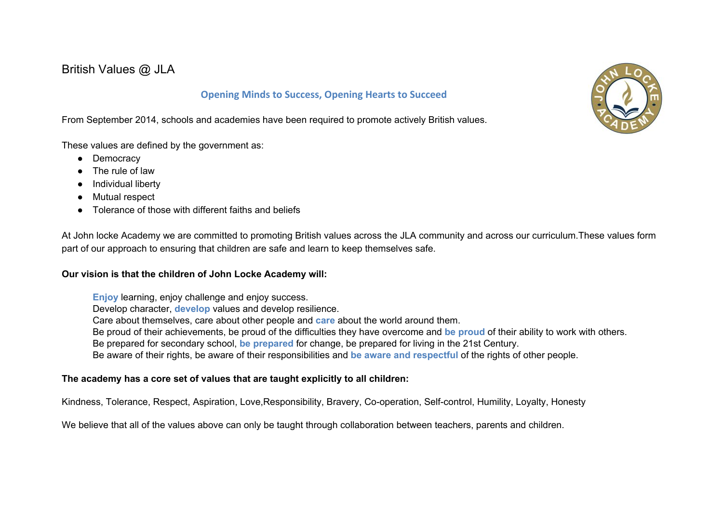British Values @ JLA

## **Opening Minds to Success, Opening Hearts to Succeed**

From September 2014, schools and academies have been required to promote actively British values.

These values are defined by the government as:

- Democracy
- The rule of law
- Individual liberty
- Mutual respect
- Tolerance of those with different faiths and beliefs

At John locke Academy we are committed to promoting British values across the JLA community and across our curriculum.These values form part of our approach to ensuring that children are safe and learn to keep themselves safe.

## **Our vision is that the children of John Locke Academy will:**

**Enjoy** learning, enjoy challenge and enjoy success.

Develop character, **develop** values and develop resilience.

Care about themselves, care about other people and **care** about the world around them.

Be proud of their achievements, be proud of the difficulties they have overcome and **be proud** of their ability to work with others.

Be prepared for secondary school, **be prepared** for change, be prepared for living in the 21st Century.

Be aware of their rights, be aware of their responsibilities and **be aware and respectful** of the rights of other people.

## **The academy has a core set of values that are taught explicitly to all children:**

Kindness, Tolerance, Respect, Aspiration, Love,Responsibility, Bravery, Co-operation, Self-control, Humility, Loyalty, Honesty

We believe that all of the values above can only be taught through collaboration between teachers, parents and children.

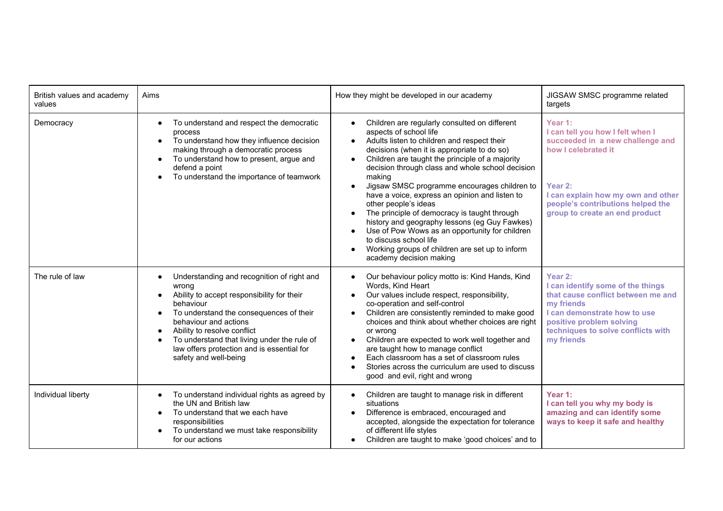| British values and academy<br>values | Aims                                                                                                                                                                                                                                                                                                                                                                                        | How they might be developed in our academy                                                                                                                                                                                                                                                                                                                                                                                                                                                                                                                                                                                                                                                                         | JIGSAW SMSC programme related<br>targets                                                                                                                                                                                       |
|--------------------------------------|---------------------------------------------------------------------------------------------------------------------------------------------------------------------------------------------------------------------------------------------------------------------------------------------------------------------------------------------------------------------------------------------|--------------------------------------------------------------------------------------------------------------------------------------------------------------------------------------------------------------------------------------------------------------------------------------------------------------------------------------------------------------------------------------------------------------------------------------------------------------------------------------------------------------------------------------------------------------------------------------------------------------------------------------------------------------------------------------------------------------------|--------------------------------------------------------------------------------------------------------------------------------------------------------------------------------------------------------------------------------|
| Democracy                            | To understand and respect the democratic<br>$\bullet$<br>process<br>To understand how they influence decision<br>$\bullet$<br>making through a democratic process<br>To understand how to present, argue and<br>$\bullet$<br>defend a point<br>To understand the importance of teamwork                                                                                                     | Children are regularly consulted on different<br>aspects of school life<br>Adults listen to children and respect their<br>$\bullet$<br>decisions (when it is appropriate to do so)<br>Children are taught the principle of a majority<br>$\bullet$<br>decision through class and whole school decision<br>making<br>Jigsaw SMSC programme encourages children to<br>have a voice, express an opinion and listen to<br>other people's ideas<br>The principle of democracy is taught through<br>history and geography lessons (eg Guy Fawkes)<br>Use of Pow Wows as an opportunity for children<br>$\bullet$<br>to discuss school life<br>Working groups of children are set up to inform<br>academy decision making | Year 1:<br>I can tell you how I felt when I<br>succeeded in a new challenge and<br>how I celebrated it<br>Year 2:<br>I can explain how my own and other<br>people's contributions helped the<br>group to create an end product |
| The rule of law                      | Understanding and recognition of right and<br>$\bullet$<br>wrona<br>Ability to accept responsibility for their<br>$\bullet$<br>behaviour<br>To understand the consequences of their<br>$\bullet$<br>behaviour and actions<br>Ability to resolve conflict<br>$\bullet$<br>To understand that living under the rule of<br>law offers protection and is essential for<br>safety and well-being | Our behaviour policy motto is: Kind Hands, Kind<br>Words, Kind Heart<br>Our values include respect, responsibility,<br>$\bullet$<br>co-operation and self-control<br>Children are consistently reminded to make good<br>$\bullet$<br>choices and think about whether choices are right<br>or wrong<br>Children are expected to work well together and<br>$\bullet$<br>are taught how to manage conflict<br>Each classroom has a set of classroom rules<br>Stories across the curriculum are used to discuss<br>good and evil, right and wrong                                                                                                                                                                      | Year 2:<br>I can identify some of the things<br>that cause conflict between me and<br>my friends<br>I can demonstrate how to use<br>positive problem solving<br>techniques to solve conflicts with<br>my friends               |
| Individual liberty                   | To understand individual rights as agreed by<br>$\bullet$<br>the UN and British law<br>To understand that we each have<br>$\bullet$<br>responsibilities<br>To understand we must take responsibility<br>for our actions                                                                                                                                                                     | Children are taught to manage risk in different<br>$\bullet$<br>situations<br>Difference is embraced, encouraged and<br>accepted, alongside the expectation for tolerance<br>of different life styles<br>Children are taught to make 'good choices' and to                                                                                                                                                                                                                                                                                                                                                                                                                                                         | Year 1:<br>I can tell you why my body is<br>amazing and can identify some<br>ways to keep it safe and healthy                                                                                                                  |